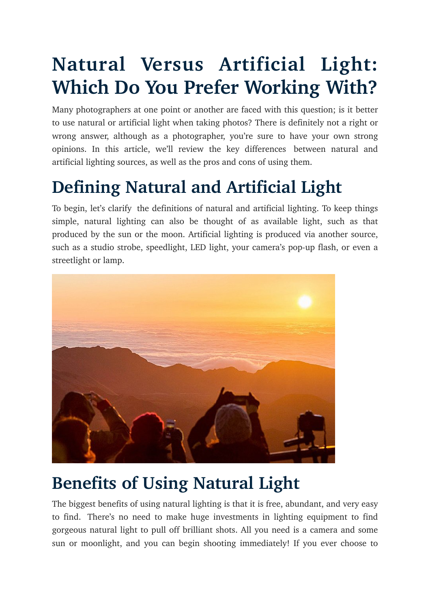# **Natural Versus Artificial Light: Which Do You Prefer Working With?**

Many photographers at one point or another are faced with this question; is it better to use natural or artificial light when taking photos? There is definitely not a right or wrong answer, although as a photographer, you're sure to have your own strong opinions. In this article, we'll review the key differences between natural and artificial lighting sources, as well as the pros and cons of using them.

# **Defining Natural and Artificial Light**

To begin, let's clarify the definitions of natural and artificial lighting. To keep things simple, natural lighting can also be thought of as available light, such as that produced by the sun or the moon. Artificial lighting is produced via another source, such as a studio strobe, speedlight, LED light, your camera's pop-up flash, or even a streetlight or lamp.



#### **Benefits of Using Natural Light**

The biggest benefits of using natural lighting is that it is free, abundant, and very easy to find. There's no need to make huge investments in lighting equipment to find gorgeous natural light to pull off brilliant shots. All you need is a camera and some sun or moonlight, and you can begin shooting immediately! If you ever choose to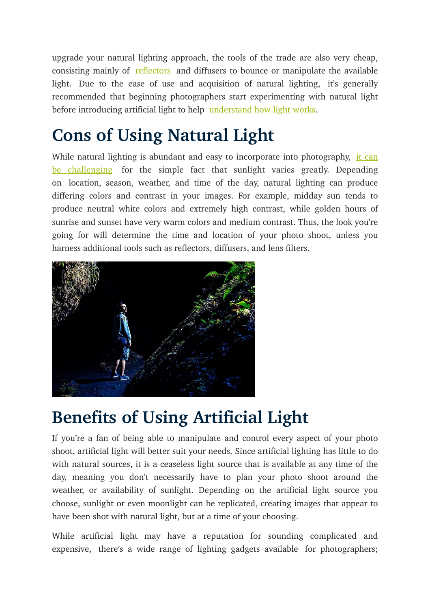upgrade your natural lighting approach, the tools of the trade are also very cheap, consisting mainly of [reflectors](http://digital-photography-school.com/diy-how-to-build-and-use-a-reflector-to-take-better-portraits/) and diffusers to bounce or manipulate the available light. Due to the ease of use and acquisition of natural lighting, it's generally recommended that beginning photographers start experimenting with natural light before introducing artificial light to help [understand how light works](http://digital-photography-school.com/understanding-natural-light-portrait-photography-a-guide-to-learning-to-see-light/).

### **Cons of Using Natural Light**

While natural lighting is abundant and easy to incorporate into photography, [it can](http://digital-photography-school.com/finding-working-available-light/) [be challenging](http://digital-photography-school.com/finding-working-available-light/) for the simple fact that sunlight varies greatly. Depending on location, season, weather, and time of the day, natural lighting can produce differing colors and contrast in your images. For example, midday sun tends to produce neutral white colors and extremely high contrast, while golden hours of sunrise and sunset have very warm colors and medium contrast. Thus, the look you're going for will determine the time and location of your photo shoot, unless you harness additional tools such as reflectors, diffusers, and lens filters.



## **Benefits of Using Artificial Light**

If you're a fan of being able to manipulate and control every aspect of your photo shoot, artificial light will better suit your needs. Since artificial lighting has little to do with natural sources, it is a ceaseless light source that is available at any time of the day, meaning you don't necessarily have to plan your photo shoot around the weather, or availability of sunlight. Depending on the artificial light source you choose, sunlight or even moonlight can be replicated, creating images that appear to have been shot with natural light, but at a time of your choosing.

While artificial light may have a reputation for sounding complicated and expensive, there's a wide range of lighting gadgets available for photographers;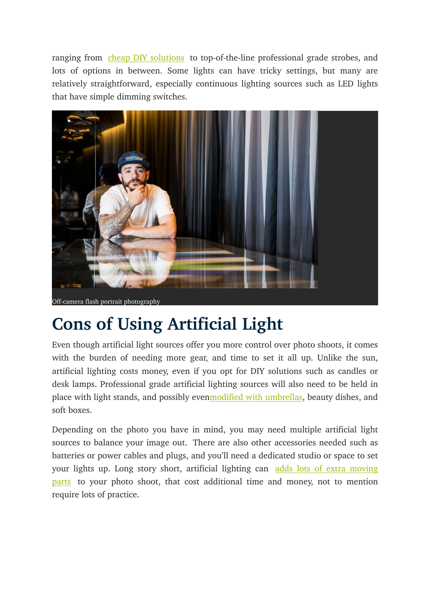ranging from [cheap DIY solutions](http://digital-photography-school.com/creating-effective-diy-studio-lighting-with-household-items/) to top-of-the-line professional grade strobes, and lots of options in between. Some lights can have tricky settings, but many are relatively straightforward, especially continuous lighting sources such as LED lights that have simple dimming switches.



#### **Cons of Using Artificial Light**

Even though artificial light sources offer you more control over photo shoots, it comes with the burden of needing more gear, and time to set it all up. Unlike the sun, artificial lighting costs money, even if you opt for DIY solutions such as candles or desk lamps. Professional grade artificial lighting sources will also need to be held in place with light stands, and possibly eve[nmodified with umbrellas,](http://digital-photography-school.com/a-beginners-guide-to-light-modifiers/) beauty dishes, and soft boxes.

Depending on the photo you have in mind, you may need multiple artificial light sources to balance your image out. There are also other accessories needed such as batteries or power cables and plugs, and you'll need a dedicated studio or space to set your lights up. Long story short, artificial lighting can adds lots of extra moving [parts](http://digital-photography-school.com/learn-how-to-setup-studio-lighting-in-15-minutes/) to your photo shoot, that cost additional time and money, not to mention require lots of practice.